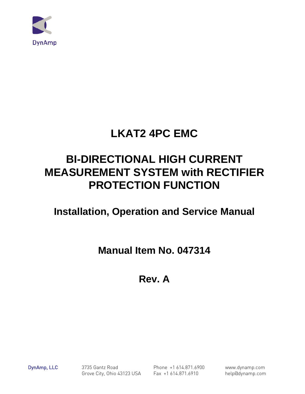

# **LKAT2 4PC EMC**

# **BI-DIRECTIONAL HIGH CURRENT MEASUREMENT SYSTEM with RECTIFIER PROTECTION FUNCTION**

# **Installation, Operation and Service Manual**

**Manual Item No. 047314**

**Rev. A**

DynAmp, LLC 3735 Gantz Road Phone +1 614.871.6900 www.dynamp.com Grove City, Ohio 43123 USA Fax +1 614.871.6910 help@dynamp.com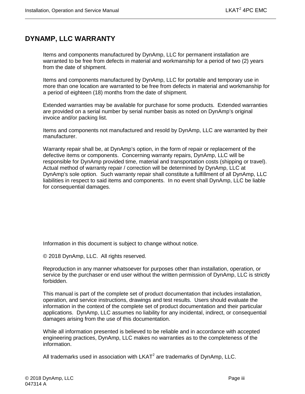# <span id="page-2-0"></span>**DYNAMP, LLC WARRANTY**

Items and components manufactured by DynAmp, LLC for permanent installation are warranted to be free from defects in material and workmanship for a period of two (2) years from the date of shipment.

Items and components manufactured by DynAmp, LLC for portable and temporary use in more than one location are warranted to be free from defects in material and workmanship for a period of eighteen (18) months from the date of shipment.

Extended warranties may be available for purchase for some products. Extended warranties are provided on a serial number by serial number basis as noted on DynAmp's original invoice and/or packing list.

Items and components not manufactured and resold by DynAmp, LLC are warranted by their manufacturer.

Warranty repair shall be, at DynAmp's option, in the form of repair or replacement of the defective items or components. Concerning warranty repairs, DynAmp, LLC will be responsible for DynAmp provided time, material and transportation costs (shipping or travel). Actual method of warranty repair / correction will be determined by DynAmp, LLC at DynAmp's sole option. Such warranty repair shall constitute a fulfillment of all DynAmp, LLC liabilities in respect to said items and components. In no event shall DynAmp, LLC be liable for consequential damages.

Information in this document is subject to change without notice.

© 2018 DynAmp, LLC. All rights reserved.

Reproduction in any manner whatsoever for purposes other than installation, operation, or service by the purchaser or end user without the written permission of DynAmp, LLC is strictly forbidden.

This manual is part of the complete set of product documentation that includes installation, operation, and service instructions, drawings and test results. Users should evaluate the information in the context of the complete set of product documentation and their particular applications. DynAmp, LLC assumes no liability for any incidental, indirect, or consequential damages arising from the use of this documentation.

While all information presented is believed to be reliable and in accordance with accepted engineering practices, DynAmp, LLC makes no warranties as to the completeness of the information.

All trademarks used in association with  $LKAT<sup>2</sup>$  are trademarks of DynAmp, LLC.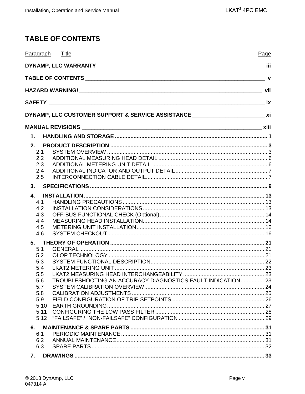# <span id="page-4-0"></span>**TABLE OF CONTENTS**

| Paragraph Title                                                                     | Page |
|-------------------------------------------------------------------------------------|------|
|                                                                                     |      |
|                                                                                     |      |
|                                                                                     |      |
|                                                                                     |      |
| DYNAMP, LLC CUSTOMER SUPPORT & SERVICE ASSISTANCE ______________________________ xi |      |
|                                                                                     |      |
| $\mathbf{1}$ .                                                                      |      |
| 2.<br>2.1                                                                           |      |
| 2.2<br>2.3                                                                          |      |
| 2.4                                                                                 |      |
| 2.5                                                                                 |      |
| 3.                                                                                  |      |
| 4.<br>4.1                                                                           |      |
| 4.2                                                                                 |      |
| 4.3                                                                                 |      |
| 4.4                                                                                 |      |
| 4.5                                                                                 |      |
| 4.6                                                                                 |      |
| 5.<br>5.1                                                                           |      |
| 5.2                                                                                 |      |
| 5.3                                                                                 |      |
| 5.4                                                                                 |      |
| 5.5<br>TROUBLESHOOTING AN ACCURACY DIAGNOSTICS FAULT INDICATION 23<br>5.6           |      |
| 5.7                                                                                 |      |
| 5.8                                                                                 |      |
| 5.9                                                                                 |      |
| 5.10                                                                                |      |
| 5.11<br>5.12                                                                        |      |
| 6.                                                                                  |      |
| 6.1                                                                                 |      |
| 6.2                                                                                 |      |
| 6.3                                                                                 |      |
| 7.                                                                                  |      |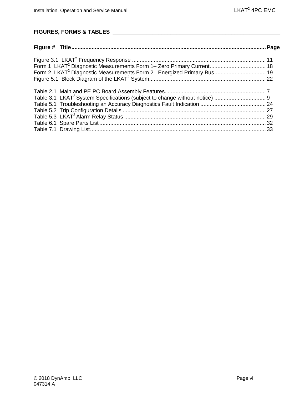# **FIGURES, FORMS & TABLES \_\_\_\_\_\_\_\_\_\_\_\_\_\_\_\_\_\_\_\_\_\_\_\_\_\_\_\_\_\_\_\_\_\_\_\_\_\_\_\_\_\_\_\_\_\_\_\_\_\_\_\_\_\_\_**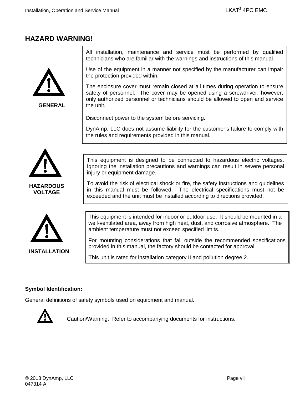# <span id="page-6-0"></span>**HAZARD WARNING!**



**GENERAL**

All installation, maintenance and service must be performed by qualified technicians who are familiar with the warnings and instructions of this manual.

Use of the equipment in a manner not specified by the manufacturer can impair the protection provided within.

The enclosure cover must remain closed at all times during operation to ensure safety of personnel. The cover may be opened using a screwdriver; however, only authorized personnel or technicians should be allowed to open and service the unit.

Disconnect power to the system before servicing.

DynAmp, LLC does not assume liability for the customer's failure to comply with the rules and requirements provided in this manual.



**HAZARDOUS VOLTAGE**



**INSTALLATION**

This equipment is designed to be connected to hazardous electric voltages. Ignoring the installation precautions and warnings can result in severe personal injury or equipment damage.

To avoid the risk of electrical shock or fire, the safety instructions and guidelines in this manual must be followed. The electrical specifications must not be exceeded and the unit must be installed according to directions provided.

This equipment is intended for indoor or outdoor use. It should be mounted in a well-ventilated area, away from high heat, dust, and corrosive atmosphere. The ambient temperature must not exceed specified limits.

For mounting considerations that fall outside the recommended specifications provided in this manual, the factory should be contacted for approval.

This unit is rated for installation category II and pollution degree 2.

#### **Symbol Identification:**

General definitions of safety symbols used on equipment and manual.



Caution/Warning: Refer to accompanying documents for instructions.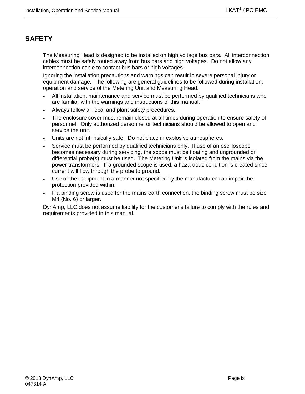# <span id="page-8-0"></span>**SAFETY**

The Measuring Head is designed to be installed on high voltage bus bars. All interconnection cables must be safely routed away from bus bars and high voltages. Do not allow any interconnection cable to contact bus bars or high voltages.

Ignoring the installation precautions and warnings can result in severe personal injury or equipment damage. The following are general guidelines to be followed during installation, operation and service of the Metering Unit and Measuring Head.

- All installation, maintenance and service must be performed by qualified technicians who are familiar with the warnings and instructions of this manual.
- Always follow all local and plant safety procedures.
- The enclosure cover must remain closed at all times during operation to ensure safety of personnel. Only authorized personnel or technicians should be allowed to open and service the unit.
- Units are not intrinsically safe. Do not place in explosive atmospheres.
- Service must be performed by qualified technicians only. If use of an oscilloscope becomes necessary during servicing, the scope must be floating and ungrounded or differential probe(s) must be used. The Metering Unit is isolated from the mains via the power transformers. If a grounded scope is used, a hazardous condition is created since current will flow through the probe to ground.
- Use of the equipment in a manner not specified by the manufacturer can impair the protection provided within.
- If a binding screw is used for the mains earth connection, the binding screw must be size M4 (No. 6) or larger.

DynAmp, LLC does not assume liability for the customer's failure to comply with the rules and requirements provided in this manual.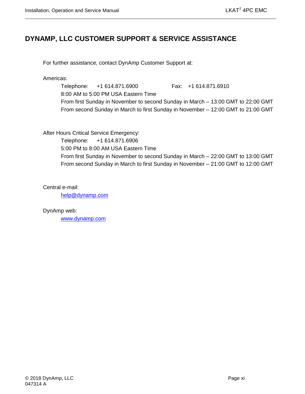# <span id="page-10-0"></span>**DYNAMP, LLC CUSTOMER SUPPORT & SERVICE ASSISTANCE**

For further assistance, contact DynAmp Customer Support at:

Americas:

Telephone: +1 614.871.6900 Fax: +1 614.871.6910 8:00 AM to 5:00 PM USA Eastern Time From first Sunday in November to second Sunday in March – 13:00 GMT to 22:00 GMT From second Sunday in March to first Sunday in November – 12:00 GMT to 21:00 GMT

After Hours Critical Service Emergency:

Telephone: +1 614.871.6906 5:00 PM to 8:00 AM USA Eastern Time From first Sunday in November to second Sunday in March – 22:00 GMT to 13:00 GMT From second Sunday in March to first Sunday in November – 21:00 GMT to 12:00 GMT

Central e-mail:

[help@dynamp.com](mailto:help@dynamp.com)

DynAmp web: [www.dynamp.com](http://www.dynamp.com/)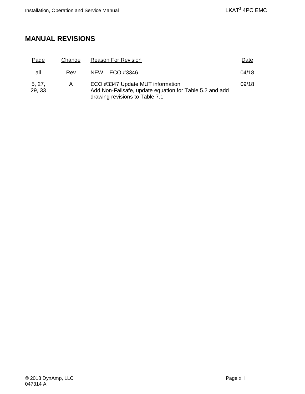# <span id="page-12-0"></span>**MANUAL REVISIONS**

| Page             | Change | <b>Reason For Revision</b>                                                                                                    | Date  |
|------------------|--------|-------------------------------------------------------------------------------------------------------------------------------|-------|
| all              | Rev    | $NEW - ECO$ #3346                                                                                                             | 04/18 |
| 5, 27,<br>29, 33 | A      | ECO #3347 Update MUT information<br>Add Non-Failsafe, update equation for Table 5.2 and add<br>drawing revisions to Table 7.1 | 09/18 |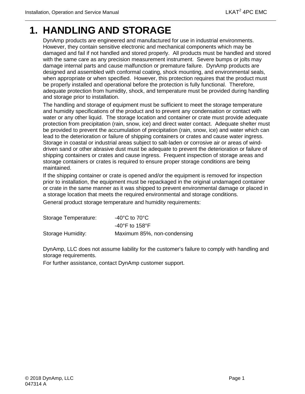# <span id="page-14-0"></span>**1. HANDLING AND STORAGE**

DynAmp products are engineered and manufactured for use in industrial environments. However, they contain sensitive electronic and mechanical components which may be damaged and fail if not handled and stored properly. All products must be handled and stored with the same care as any precision measurement instrument. Severe bumps or jolts may damage internal parts and cause malfunction or premature failure. DynAmp products are designed and assembled with conformal coating, shock mounting, and environmental seals, when appropriate or when specified. However, this protection requires that the product must be properly installed and operational before the protection is fully functional. Therefore, adequate protection from humidity, shock, and temperature must be provided during handling and storage prior to installation.

The handling and storage of equipment must be sufficient to meet the storage temperature and humidity specifications of the product and to prevent any condensation or contact with water or any other liquid. The storage location and container or crate must provide adequate protection from precipitation (rain, snow, ice) and direct water contact. Adequate shelter must be provided to prevent the accumulation of precipitation (rain, snow, ice) and water which can lead to the deterioration or failure of shipping containers or crates and cause water ingress. Storage in coastal or industrial areas subject to salt-laden or corrosive air or areas of winddriven sand or other abrasive dust must be adequate to prevent the deterioration or failure of shipping containers or crates and cause ingress. Frequent inspection of storage areas and storage containers or crates is required to ensure proper storage conditions are being maintained.

If the shipping container or crate is opened and/or the equipment is removed for inspection prior to installation, the equipment must be repackaged in the original undamaged container or crate in the same manner as it was shipped to prevent environmental damage or placed in a storage location that meets the required environmental and storage conditions.

General product storage temperature and humidity requirements:

| Storage Temperature: | -40 $^{\circ}$ C to 70 $^{\circ}$ C |
|----------------------|-------------------------------------|
|                      | $-40^{\circ}$ F to 158 $^{\circ}$ F |
| Storage Humidity:    | Maximum 85%, non-condensing         |

DynAmp, LLC does not assume liability for the customer's failure to comply with handling and storage requirements.

For further assistance, contact DynAmp customer support.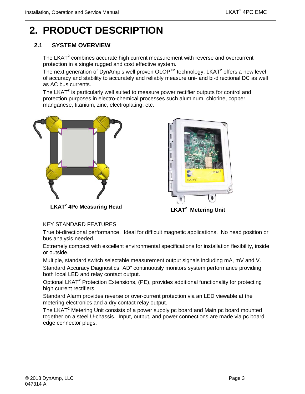# <span id="page-16-0"></span>**2. PRODUCT DESCRIPTION**

# <span id="page-16-1"></span>**2.1 SYSTEM OVERVIEW**

The LKAT**<sup>2</sup>** combines accurate high current measurement with reverse and overcurrent protection in a single rugged and cost effective system.

The next generation of DynAmp's well proven OLOP<sup>™</sup> technology, LKAT<sup>2</sup> offers a new level of accuracy and stability to accurately and reliably measure uni- and bi-directional DC as well as AC bus currents.

The LKAT**<sup>2</sup>** is particularly well suited to measure power rectifier outputs for control and protection purposes in electro-chemical processes such aluminum, chlorine, copper, manganese, titanium, zinc, electroplating, etc.





**LKAT<sup>2</sup> 4Pc Measuring Head** 

**LKAT<sup>2</sup>** Metering Unit

#### KEY STANDARD FEATURES

True bi-directional performance. Ideal for difficult magnetic applications. No head position or bus analysis needed.

Extremely compact with excellent environmental specifications for installation flexibility, inside or outside.

Multiple, standard switch selectable measurement output signals including mA, mV and V.

Standard Accuracy Diagnostics "AD" continuously monitors system performance providing both local LED and relay contact output.

Optional LKAT**<sup>2</sup>** Protection Extensions, (PE), provides additional functionality for protecting high current rectifiers.

Standard Alarm provides reverse or over-current protection via an LED viewable at the metering electronics and a dry contact relay output.

The LKAT<sup>2</sup> Metering Unit consists of a power supply pc board and Main pc board mounted together on a steel U-chassis. Input, output, and power connections are made via pc board edge connector plugs.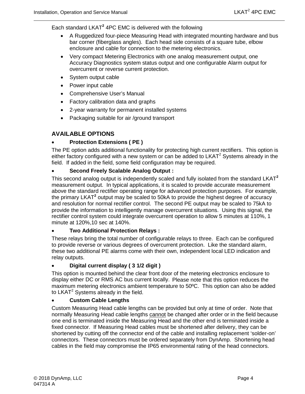Each standard LKAT**<sup>2</sup>** 4PC EMC is delivered with the following

- A Ruggedized four-piece Measuring Head with integrated mounting hardware and bus bar corner (fiberglass angles). Each head side consists of a square tube, elbow enclosure and cable for connection to the metering electronics.
- Very compact Metering Electronics with one analog measurement output, one Accuracy Diagnostics system status output and one configurable Alarm output for overcurrent or reverse current protection.
- System output cable
- Power input cable
- Comprehensive User's Manual
- Factory calibration data and graphs
- 2-year warranty for permanent installed systems
- Packaging suitable for air /ground transport

#### **AVAILABLE OPTIONS**

#### • **Protection Extensions ( PE )**

The PE option adds additional functionality for protecting high current rectifiers. This option is either factory configured with a new system or can be added to LKAT<sup>2</sup> Systems already in the field. If added in the field, some field configuration may be required.

#### • **Second Freely Scalable Analog Output :**

This second analog output is independently scaled and fully isolated from the standard LKAT**<sup>2</sup>** measurement output. In typical applications, it is scaled to provide accurate measurement above the standard rectifier operating range for advanced protection purposes. For example, the primary LKAT**<sup>2</sup>** output may be scaled to 50kA to provide the highest degree of accuracy and resolution for normal rectifier control. The second PE output may be scaled to 75kA to provide the information to intelligently manage overcurrent situations. Using this signal, the rectifier control system could integrate overcurrent operation to allow 5 minutes at 110%, 1 minute at 120%,10 sec at 140%.

#### • **Two Additional Protection Relays :**

These relays bring the total number of configurable relays to three. Each can be configured to provide reverse or various degrees of overcurrent protection. Like the standard alarm, these two additional PE alarms come with their own, independent local LED indication and relay outputs.

#### • **Digital current display ( 3 1/2 digit )**

This option is mounted behind the clear front door of the metering electronics enclosure to display either DC or RMS AC bus current locally. Please note that this option reduces the maximum metering electronics ambient temperature to 50ºC. This option can also be added to LKAT $2$  Systems already in the field.

#### • **Custom Cable Lengths**

Custom Measuring Head cable lengths can be provided but only at time of order. Note that normally Measuring Head cable lengths cannot be changed after order or in the field because one end is terminated inside the Measuring Head and the other end is terminated inside a fixed connector. If Measuring Head cables must be shortened after delivery, they can be shortened by cutting off the connector end of the cable and installing replacement 'solder-on' connectors. These connectors must be ordered separately from DynAmp. Shortening head cables in the field may compromise the IP65 environmental rating of the head connectors.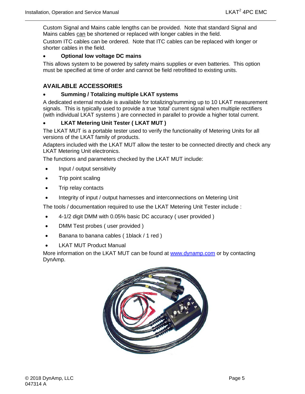Custom Signal and Mains cable lengths can be provided. Note that standard Signal and Mains cables can be shortened or replaced with longer cables in the field.

Custom ITC cables can be ordered. Note that ITC cables can be replaced with longer or shorter cables in the field.

#### • **Optional low voltage DC mains**

This allows system to be powered by safety mains supplies or even batteries. This option must be specified at time of order and cannot be field retrofitted to existing units.

# **AVAILABLE ACCESSORIES**

#### • **Summing / Totalizing multiple LKAT systems**

A dedicated external module is available for totalizing/summing up to 10 LKAT measurement signals. This is typically used to provide a true 'total' current signal when multiple rectifiers (with individual LKAT systems ) are connected in parallel to provide a higher total current.

### • **LKAT Metering Unit Tester ( LKAT MUT )**

The LKAT MUT is a portable tester used to verify the functionality of Metering Units for all versions of the LKAT family of products.

Adapters included with the LKAT MUT allow the tester to be connected directly and check any LKAT Metering Unit electronics.

The functions and parameters checked by the LKAT MUT include:

- Input / output sensitivity
- Trip point scaling
- Trip relay contacts
- Integrity of input / output harnesses and interconnections on Metering Unit

The tools / documentation required to use the LKAT Metering Unit Tester include :

- 4-1/2 digit DMM with 0.05% basic DC accuracy ( user provided )
- DMM Test probes ( user provided )
- Banana to banana cables (1black / 1 red )
- **LKAT MUT Product Manual**

More information on the LKAT MUT can be found at [www.dynamp.com](http://www.dynamp.com/) or by contacting DynAmp.

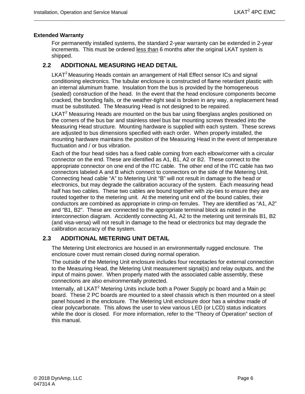#### **Extended Warranty**

For permanently installed systems, the standard 2-year warranty can be extended in 2-year increments. This must be ordered less than 6 months after the original LKAT system is shipped.

#### <span id="page-19-0"></span>**2.2 ADDITIONAL MEASURING HEAD DETAIL**

LKAT<sup>2</sup> Measuring Heads contain an arrangement of Hall Effect sensor ICs and signal conditioning electronics. The tubular enclosure is constructed of flame retardant plastic with an internal aluminum frame. Insulation from the bus is provided by the homogeneous (sealed) construction of the head. In the event that the head enclosure components become cracked, the bonding fails, or the weather-tight seal is broken in any way, a replacement head must be substituted. The Measuring Head is not designed to be repaired.

LKAT $<sup>2</sup>$  Measuring Heads are mounted on the bus bar using fiberglass angles positioned on</sup> the corners of the bus bar and stainless steel bus bar mounting screws threaded into the Measuring Head structure. Mounting hardware is supplied with each system. These screws are adjusted to bus dimensions specified with each order. When properly installed, the mounting hardware maintains the position of the Measuring Head in the event of temperature fluctuation and / or bus vibration.

Each of the four head sides has a fixed cable coming from each elbow/corner with a circular connector on the end. These are identified as A1, B1, A2 or B2. These connect to the appropriate connector on one end of the ITC cable. The other end of the ITC cable has two connectors labeled A and B which connect to connectors on the side of the Metering Unit. Connecting head cable "A" to Metering Unit "B" will not result in damage to the head or electronics, but may degrade the calibration accuracy of the system. Each measuring head half has two cables. These two cables are bound together with zip-ties to ensure they are routed together to the metering unit. At the metering unit end of the bound cables, their conductors are combined as appropriate in crimp-on ferrules. They are identified as "A1, A2" and "B1, B2". These are connected to the appropriate terminal block as noted in the interconnection diagram. Accidently connecting A1, A2 to the metering unit terminals B1, B2 (and visa-versa) will not result in damage to the head or electronics but may degrade the calibration accuracy of the system.

#### <span id="page-19-1"></span>**2.3 ADDITIONAL METERING UNIT DETAIL**

The Metering Unit electronics are housed in an environmentally rugged enclosure. The enclosure cover must remain closed during normal operation.

The outside of the Metering Unit enclosure includes four receptacles for external connection to the Measuring Head, the Metering Unit measurement signal(s) and relay outputs, and the input of mains power. When properly mated with the associated cable assembly, these connections are also environmentally protected.

Internally, all LKAT<sup>2</sup> Metering Units include both a Power Supply pc board and a Main pc board. These 2 PC boards are mounted to a steel chassis which is then mounted on a steel panel housed in the enclosure. The Metering Unit enclosure door has a window made of clear polycarbonate. This allows the user to view various LED (or LCD) status indicators while the door is closed. For more information, refer to the "Theory of Operation" section of this manual.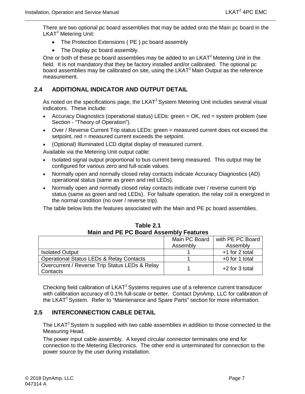There are two optional pc board assemblies that may be added onto the Main pc board in the LKAT<sup>2</sup> Metering Unit:

- The Protection Extensions ( PE ) pc board assembly
- The Display pc board assembly.

One or both of these pc board assemblies may be added to an LKAT<sup>2</sup> Metering Unit in the field. It is not mandatory that they be factory installed and/or calibrated. The optional pc board assemblies may be calibrated on site, using the  $LKAT<sup>2</sup>$  Main Output as the reference measurement.

### <span id="page-20-0"></span>**2.4 ADDITIONAL INDICATOR AND OUTPUT DETAIL**

As noted on the specifications page, the LKAT<sup>2</sup> System Metering Unit includes several visual indicators. These include:

- Accuracy Diagnostics (operational status) LEDs: green = OK, red = system problem (see Section - "Theory of Operation").
- Over / Reverse Current Trip status LEDs: green = measured current does not exceed the setpoint, red = measured current exceeds the setpoint.
- (Optional) Illuminated LCD digital display of measured current.

Available via the Metering Unit output cable:

- Isolated signal output proportional to bus current being measured. This output may be configured for various zero and full-scale values.
- Normally open and normally closed relay contacts indicate Accuracy Diagnostics (AD) operational status (same as green and red LEDs).
- Normally open and normally closed relay contacts indicate over / reverse current trip status (same as green and red LEDs). For failsafe operation, the relay coil is energized in the normal condition (no over / reverse trip).

The table below lists the features associated with the Main and PE pc board assemblies.

<span id="page-20-2"></span>

| Main and PE PC Board Assembly Features                     |          |                  |  |  |  |
|------------------------------------------------------------|----------|------------------|--|--|--|
| with PE PC Board<br>Main PC Board                          |          |                  |  |  |  |
|                                                            | Assembly | Assembly         |  |  |  |
| <b>Isolated Output</b>                                     |          | +1 for 2 total   |  |  |  |
| <b>Operational Status LEDs &amp; Relay Contacts</b>        |          | +0 for 1 total   |  |  |  |
| Overcurrent / Reverse Trip Status LEDs & Relay<br>Contacts |          | $+2$ for 3 total |  |  |  |

**Table 2.1 Main and PE PC Board Assembly Features**

Checking field calibration of LKAT<sup>2</sup> Systems requires use of a reference current transducer with calibration accuracy of 0.1% full-scale or better. Contact DynAmp, LLC for calibration of the LKAT<sup>2</sup> System. Refer to "Maintenance and Spare Parts" section for more information.

#### <span id="page-20-1"></span>**2.5 INTERCONNECTION CABLE DETAIL**

The LKAT<sup>2</sup> System is supplied with two cable assemblies in addition to those connected to the Measuring Head.

The power input cable assembly. A keyed circular connector terminates one end for connection to the Metering Electronics. The other end is unterminated for connection to the power source by the user during installation.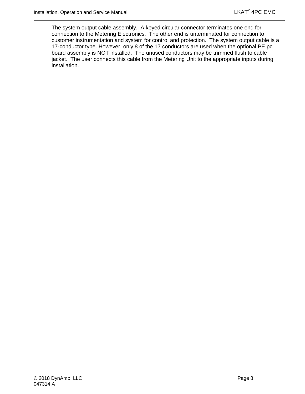The system output cable assembly. A keyed circular connector terminates one end for connection to the Metering Electronics. The other end is unterminated for connection to customer instrumentation and system for control and protection. The system output cable is a 17-conductor type. However, only 8 of the 17 conductors are used when the optional PE pc board assembly is NOT installed. The unused conductors may be trimmed flush to cable jacket. The user connects this cable from the Metering Unit to the appropriate inputs during installation.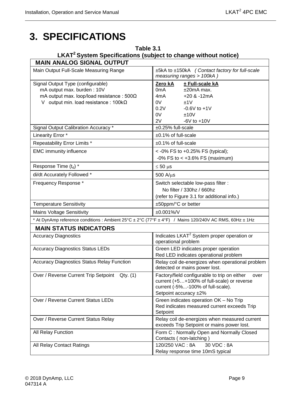# <span id="page-22-0"></span>**3. SPECIFICATIONS**

<span id="page-22-1"></span>

| Table 3.1<br>LKAT <sup>2</sup> System Specifications (subject to change without notice)                                                                             |                                                                                                                                                                          |  |  |  |  |
|---------------------------------------------------------------------------------------------------------------------------------------------------------------------|--------------------------------------------------------------------------------------------------------------------------------------------------------------------------|--|--|--|--|
| <b>MAIN ANALOG SIGNAL OUTPUT</b>                                                                                                                                    |                                                                                                                                                                          |  |  |  |  |
| Main Output Full-Scale Measuring Range                                                                                                                              | ±5kA to ±150kA (Contact factory for full-scale<br>measuring ranges > 100kA)                                                                                              |  |  |  |  |
| Signal Output Type (configurable)<br>mA output max. burden: 10V<br>mA output max. loop/load resistance: $500\Omega$<br>V output min. load resistance : $100k\Omega$ | Zero kA<br>± Full-scale kA<br>$±20mA$ max.<br>0 <sub>m</sub> A<br>$+20$ & $-12mA$<br>4mA<br>0V<br>±1V<br>0.2V<br>$-0.6V$ to $+1V$<br>0V<br>±10V<br>2V<br>$-6V$ to $+10V$ |  |  |  |  |
| Signal Output Calibration Accuracy *                                                                                                                                | ±0.25% full-scale                                                                                                                                                        |  |  |  |  |
| Linearity Error *                                                                                                                                                   | $±0.1\%$ of full-scale                                                                                                                                                   |  |  |  |  |
| Repeatability Error Limits *                                                                                                                                        | ±0.1% of full-scale                                                                                                                                                      |  |  |  |  |
| <b>EMC</b> immunity influence                                                                                                                                       | <-0% FS to +0.25% FS (typical);<br>$-0\%$ FS to < $+3.6\%$ FS (maximum)                                                                                                  |  |  |  |  |
| Response Time (t <sub>d</sub> ) *                                                                                                                                   | $\leq 50$ µs                                                                                                                                                             |  |  |  |  |
| di/dt Accurately Followed *                                                                                                                                         | $500$ A/ $\mu$ s                                                                                                                                                         |  |  |  |  |
| Frequency Response *                                                                                                                                                | Switch selectable low-pass filter :<br>No filter / 330hz / 660hz<br>(refer to Figure 3.1 for additional info.)                                                           |  |  |  |  |
| <b>Temperature Sensitivity</b>                                                                                                                                      | ±50ppm/°C or better                                                                                                                                                      |  |  |  |  |
| <b>Mains Voltage Sensitivity</b>                                                                                                                                    | $±0.001\%$ /V                                                                                                                                                            |  |  |  |  |
| * At DynAmp reference conditions : Ambient 25°C ± 2°C (77°F ± 4°F) / Mains 120/240V AC RMS, 60Hz ± 1Hz                                                              |                                                                                                                                                                          |  |  |  |  |
| <b>MAIN STATUS INDICATORS</b>                                                                                                                                       |                                                                                                                                                                          |  |  |  |  |
| <b>Accuracy Diagnostics</b>                                                                                                                                         | Indicates LKAT <sup>2</sup> System proper operation or<br>operational problem                                                                                            |  |  |  |  |
| <b>Accuracy Diagnostics Status LEDs</b>                                                                                                                             | Green LED indicates proper operation<br>Red LED indicates operational problem                                                                                            |  |  |  |  |
| <b>Accuracy Diagnostics Status Relay Function</b>                                                                                                                   | Relay coil de-energizes when operational problem<br>detected or mains power lost.                                                                                        |  |  |  |  |
| Over / Reverse Current Trip Setpoint Qty. (1)                                                                                                                       | Factory/field configurable to trip on either<br>over<br>current (+5+100% of full-scale) or reverse<br>current (-5%-100% of full-scale).<br>Setpoint accuracy ±2%         |  |  |  |  |
| Over / Reverse Current Status LEDs                                                                                                                                  | Green indicates operation OK - No Trip<br>Red indicates measured current exceeds Trip<br>Setpoint                                                                        |  |  |  |  |
| Over / Reverse Current Status Relay                                                                                                                                 | Relay coil de-energizes when measured current<br>exceeds Trip Setpoint or mains power lost.                                                                              |  |  |  |  |
| All Relay Function                                                                                                                                                  | Form C: Normally Open and Normally Closed<br>Contacts (non-latching)                                                                                                     |  |  |  |  |
| All Relay Contact Ratings                                                                                                                                           | 120/250 VAC: 8A<br>30 VDC: 8A<br>Relay response time 10mS typical                                                                                                        |  |  |  |  |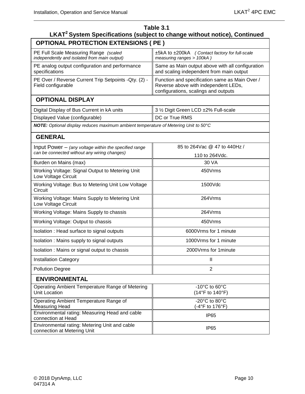| Table 3.1<br>LKAT <sup>2</sup> System Specifications (subject to change without notice), Continued |                                                                                                                                |  |  |  |  |  |
|----------------------------------------------------------------------------------------------------|--------------------------------------------------------------------------------------------------------------------------------|--|--|--|--|--|
| <b>OPTIONAL PROTECTION EXTENSIONS ( PE )</b>                                                       |                                                                                                                                |  |  |  |  |  |
| PE Full Scale Measuring Range (scaled<br>independently and isolated from main output)              | ±5kA to ±200kA (Contact factory for full-scale<br>measuring ranges > 100kA)                                                    |  |  |  |  |  |
| PE analog output configuration and performance<br>specifications                                   | Same as Main output above with all configuration<br>and scaling independent from main output                                   |  |  |  |  |  |
| PE Over / Reverse Current Trip Setpoints - Qty. (2) -<br>Field configurable                        | Function and specification same as Main Over /<br>Reverse above with independent LEDs,<br>configurations, scalings and outputs |  |  |  |  |  |
| <b>OPTIONAL DISPLAY</b>                                                                            |                                                                                                                                |  |  |  |  |  |
| Digital Display of Bus Current in kA units                                                         | 3 1/2 Digit Green LCD ±2% Full-scale                                                                                           |  |  |  |  |  |
| Displayed Value (configurable)                                                                     | DC or True RMS                                                                                                                 |  |  |  |  |  |
| NOTE: Optional display reduces maximum ambient temperature of Metering Unit to 50°C                |                                                                                                                                |  |  |  |  |  |
| <b>GENERAL</b>                                                                                     |                                                                                                                                |  |  |  |  |  |
| Input Power $-$ (any voltage within the specified range                                            | 85 to 264 Vac @ 47 to 440 Hz /                                                                                                 |  |  |  |  |  |
| can be connected without any wiring changes)                                                       | 110 to 264 Vdc.                                                                                                                |  |  |  |  |  |
| Burden on Mains (max)                                                                              | 30 VA                                                                                                                          |  |  |  |  |  |
| Working Voltage: Signal Output to Metering Unit<br>Low Voltage Circuit                             | 450Vrms                                                                                                                        |  |  |  |  |  |
| Working Voltage: Bus to Metering Unit Low Voltage<br>Circuit                                       | 1500Vdc                                                                                                                        |  |  |  |  |  |
| Working Voltage: Mains Supply to Metering Unit<br>Low Voltage Circuit                              | 264Vrms                                                                                                                        |  |  |  |  |  |
| Working Voltage: Mains Supply to chassis                                                           | 264Vrms                                                                                                                        |  |  |  |  |  |
| Working Voltage: Output to chassis                                                                 | 450Vrms                                                                                                                        |  |  |  |  |  |
| Isolation : Head surface to signal outputs                                                         | 6000 Vrms for 1 minute                                                                                                         |  |  |  |  |  |
| Isolation : Mains supply to signal outputs                                                         | 1000 Vrms for 1 minute                                                                                                         |  |  |  |  |  |
| Isolation: Mains or signal output to chassis                                                       | 2000Vrms for 1minute                                                                                                           |  |  |  |  |  |
| <b>Installation Category</b>                                                                       | Ш                                                                                                                              |  |  |  |  |  |
| <b>Pollution Degree</b>                                                                            | $\overline{2}$                                                                                                                 |  |  |  |  |  |
| <b>ENVIRONMENTAL</b>                                                                               |                                                                                                                                |  |  |  |  |  |
| Operating Ambient Temperature Range of Metering<br><b>Unit Location</b>                            | -10 $^{\circ}$ C to 60 $^{\circ}$ C<br>$(14^{\circ}F \text{ to } 140^{\circ}F)$                                                |  |  |  |  |  |
| Operating Ambient Temperature Range of<br><b>Measuring Head</b>                                    | -20°C to 80°C<br>(-4°F to 176°F)                                                                                               |  |  |  |  |  |
| Environmental rating: Measuring Head and cable<br>connection at Head                               | IP <sub>65</sub>                                                                                                               |  |  |  |  |  |
| Environmental rating: Metering Unit and cable<br>connection at Metering Unit                       | IP <sub>65</sub>                                                                                                               |  |  |  |  |  |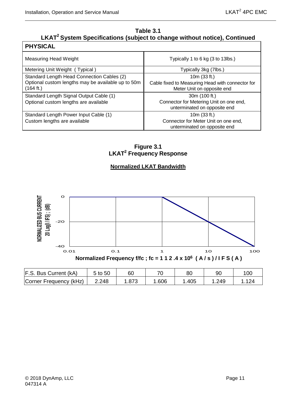٦

# **Table 3.1**

# **LKAT2 System Specifications (subject to change without notice), Continued**

| <b>PHYSICAL</b>                                                                                               |                                                                                                  |
|---------------------------------------------------------------------------------------------------------------|--------------------------------------------------------------------------------------------------|
| Measuring Head Weight                                                                                         | Typically 1 to 6 kg (3 to 13lbs.)                                                                |
| Metering Unit Weight (Typical)                                                                                | Typically 3kg (7lbs.)                                                                            |
| Standard Length Head Connection Cables (2)<br>Optional custom lengths may be available up to 50m<br>(164 ft.) | 10 $m(33 ft.)$<br>Cable fixed to Measuring Head with connector for<br>Meter Unit on opposite end |
| Standard Length Signal Output Cable (1)<br>Optional custom lengths are available                              | 30m (100 ft.)<br>Connector for Metering Unit on one end,<br>unterminated on opposite end         |
| Standard Length Power Input Cable (1)<br>Custom lengths are available                                         | 10 $m(33 ft.)$<br>Connector for Meter Unit on one end,<br>unterminated on opposite end           |

**Figure 3.1 LKAT2 Frequency Response**

## **Normalized LKAT Bandwidth**

<span id="page-24-0"></span>

| F.S. Bus Current (kA)  | 5 to 50 | 60   |      | 8С   | 90   | 100 |
|------------------------|---------|------|------|------|------|-----|
| Corner Frequency (kHz) | 2.248   | .873 | .606 | .405 | .249 |     |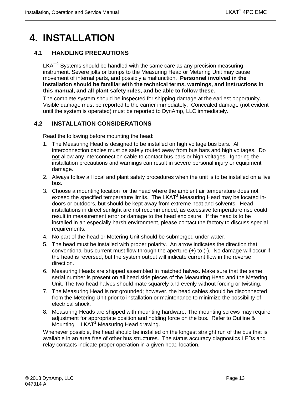# <span id="page-26-0"></span>**4. INSTALLATION**

## <span id="page-26-1"></span>**4.1 HANDLING PRECAUTIONS**

 $LKAT<sup>2</sup>$  Systems should be handled with the same care as any precision measuring instrument. Severe jolts or bumps to the Measuring Head or Metering Unit may cause movement of internal parts, and possibly a malfunction. **Personnel involved in the installation should be familiar with the technical terms, warnings, and instructions in this manual, and all plant safety rules, and be able to follow these.**

The complete system should be inspected for shipping damage at the earliest opportunity. Visible damage must be reported to the carrier immediately. Concealed damage (not evident until the system is operated) must be reported to DynAmp, LLC immediately.

### <span id="page-26-2"></span>**4.2 INSTALLATION CONSIDERATIONS**

Read the following before mounting the head:

- 1. The Measuring Head is designed to be installed on high voltage bus bars. All interconnection cables must be safely routed away from bus bars and high voltages. Do not allow any interconnection cable to contact bus bars or high voltages. Ignoring the installation precautions and warnings can result in severe personal injury or equipment damage.
- 2. Always follow all local and plant safety procedures when the unit is to be installed on a live bus.
- 3. Choose a mounting location for the head where the ambient air temperature does not exceed the specified temperature limits. The LKAT<sup>2</sup> Measuring Head may be located indoors or outdoors, but should be kept away from extreme heat and solvents. Head installations in direct sunlight are not recommended, as excessive temperature rise could result in measurement error or damage to the head enclosure. If the head is to be installed in an especially harsh environment, please contact the factory to discuss special requirements.
- 4. No part of the head or Metering Unit should be submerged under water.
- 5. The head must be installed with proper polarity. An arrow indicates the direction that conventional bus current must flow through the aperture  $(+)$  to  $(-)$ . No damage will occur if the head is reversed, but the system output will indicate current flow in the reverse direction.
- 6. Measuring Heads are shipped assembled in matched halves. Make sure that the same serial number is present on all head side pieces of the Measuring Head and the Metering Unit. The two head halves should mate squarely and evenly without forcing or twisting.
- 7. The Measuring Head is not grounded; however, the head cables should be disconnected from the Metering Unit prior to installation or maintenance to minimize the possibility of electrical shock.
- 8. Measuring Heads are shipped with mounting hardware. The mounting screws may require adjustment for appropriate position and holding force on the bus. Refer to Outline & Mounting  $-$  LKAT<sup>2</sup> Measuring Head drawing.

Whenever possible, the head should be installed on the longest straight run of the bus that is available in an area free of other bus structures. The status accuracy diagnostics LEDs and relay contacts indicate proper operation in a given head location.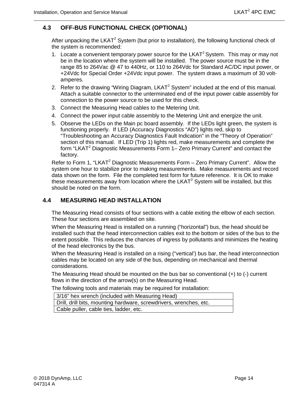### <span id="page-27-0"></span>**4.3 OFF-BUS FUNCTIONAL CHECK (OPTIONAL)**

After unpacking the LKAT<sup>2</sup> System (but prior to installation), the following functional check of the system is recommended:

- 1. Locate a convenient temporary power source for the LKAT<sup>2</sup> System. This may or may not be in the location where the system will be installed. The power source must be in the range 85 to 264Vac @ 47 to 440Hz, or 110 to 264Vdc for Standard AC/DC input power, or +24Vdc for Special Order +24Vdc input power. The system draws a maximum of 30 voltamperes.
- 2. Refer to the drawing "Wiring Diagram, LKAT<sup>2</sup> System" included at the end of this manual. Attach a suitable connector to the unterminated end of the input power cable assembly for connection to the power source to be used for this check.
- 3. Connect the Measuring Head cables to the Metering Unit.
- 4. Connect the power input cable assembly to the Metering Unit and energize the unit.
- 5. Observe the LEDs on the Main pc board assembly. If the LEDs light green, the system is functioning properly. If LED (Accuracy Diagnostics "AD") lights red, skip to "Troubleshooting an Accuracy Diagnostics Fault Indication" in the "Theory of Operation" section of this manual. If LED (Trip 1) lights red, make measurements and complete the form "LKAT<sup>2</sup> Diagnostic Measurements Form 1– Zero Primary Current" and contact the factory.

Refer to Form 1, "LKAT<sup>2</sup> Diagnostic Measurements Form  $-$  Zero Primary Current". Allow the system one hour to stabilize prior to making measurements. Make measurements and record data shown on the form. File the completed test form for future reference. It is OK to make these measurements away from location where the LKAT<sup>2</sup> System will be installed, but this should be noted on the form.

#### <span id="page-27-1"></span>**4.4 MEASURING HEAD INSTALLATION**

The Measuring Head consists of four sections with a cable exiting the elbow of each section. These four sections are assembled on site.

When the Measuring Head is installed on a running ("horizontal") bus, the head should be installed such that the head interconnection cables exit to the bottom or sides of the bus to the extent possible. This reduces the chances of ingress by pollutants and minimizes the heating of the head electronics by the bus.

When the Measuring Head is installed on a rising ("vertical') bus bar, the head interconnection cables may be located on any side of the bus, depending on mechanical and thermal considerations.

The Measuring Head should be mounted on the bus bar so conventional  $(+)$  to  $(-)$  current flows in the direction of the arrow(s) on the Measuring Head.

The following tools and materials may be required for installation:

| 3/16" hex wrench (included with Measuring Head)                    |
|--------------------------------------------------------------------|
| Drill, drill bits, mounting hardware, screwdrivers, wrenches, etc. |
| Cable puller, cable ties, ladder, etc.                             |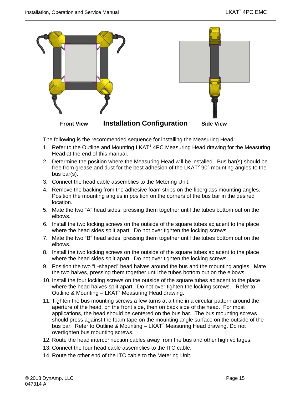

The following is the recommended sequence for installing the Measuring Head:

- 1. Refer to the Outline and Mounting  $LKAT^2$  4PC Measuring Head drawing for the Measuring Head at the end of this manual.
- 2. Determine the position where the Measuring Head will be installed. Bus bar(s) should be free from grease and dust for the best adhesion of the LKAT $2$  90 $\degree$  mounting angles to the bus bar(s).
- 3. Connect the head cable assemblies to the Metering Unit.
- 4. Remove the backing from the adhesive foam strips on the fiberglass mounting angles. Position the mounting angles in position on the corners of the bus bar in the desired location.
- 5. Mate the two "A" head sides, pressing them together until the tubes bottom out on the elbows.
- 6. Install the two locking screws on the outside of the square tubes adjacent to the place where the head sides split apart. Do not over tighten the locking screws.
- 7. Mate the two "B" head sides, pressing them together until the tubes bottom out on the elbows.
- 8. Install the two locking screws on the outside of the square tubes adjacent to the place where the head sides split apart. Do not over tighten the locking screws.
- 9. Position the two "L-shaped" head halves around the bus and the mounting angles. Mate the two halves, pressing them together until the tubes bottom out on the elbows.
- 10. Install the four locking screws on the outside of the square tubes adjacent to the place where the head halves split apart. Do not over tighten the locking screws. Refer to Outline & Mounting  $-$  LKAT<sup>2</sup> Measuring Head drawing.
- 11. Tighten the bus mounting screws a few turns at a time in a circular pattern around the aperture of the head, on the front side, then on back side of the head. For most applications, the head should be centered on the bus bar. The bus mounting screws should press against the foam tape on the mounting angle surface on the outside of the bus bar. Refer to Outline & Mounting – LKAT<sup>2</sup> Measuring Head drawing. Do not overtighten bus mounting screws.
- 12. Route the head interconnection cables away from the bus and other high voltages.
- 13. Connect the four head cable assemblies to the ITC cable.
- 14. Route the other end of the ITC cable to the Metering Unit.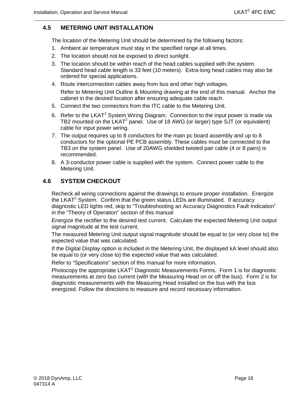#### <span id="page-29-0"></span>**4.5 METERING UNIT INSTALLATION**

The location of the Metering Unit should be determined by the following factors:

- 1. Ambient air temperature must stay in the specified range at all times.
- 2. The location should not be exposed to direct sunlight.
- 3. The location should be within reach of the head cables supplied with the system. Standard head cable length is 33 feet (10 meters). Extra-long head cables may also be ordered for special applications.
- 4. Route interconnection cables away from bus and other high voltages. Refer to Metering Unit Outline & Mounting drawing at the end of this manual. Anchor the cabinet in the desired location after ensuring adequate cable reach.
- 5. Connect the two connectors from the ITC cable to the Metering Unit.
- 6. Refer to the LKAT<sup>2</sup> System Wiring Diagram. Connection to the input power is made via TB2 mounted on the  $LKAT^2$  panel. Use of 18 AWG (or larger) type SJT (or equivalent) cable for input power wiring.
- 7. The output requires up to 8 conductors for the main pc board assembly and up to 8 conductors for the optional PE PCB assembly. These cables must be connected to the TB3 on the system panel. Use of 20AWG shielded twisted pair cable (4 or 8 pairs) is recommended.
- 8. A 3-conductor power cable is supplied with the system. Connect power cable to the Metering Unit.

#### <span id="page-29-1"></span>**4.6 SYSTEM CHECKOUT**

Recheck all wiring connections against the drawings to ensure proper installation. Energize the LKAT<sup>2</sup> System. Confirm that the green status LEDs are illuminated. If accuracy diagnostic LED lights red, skip to "Troubleshooting an Accuracy Diagnostics Fault Indication" in the "Theory of Operation" section of this manual

Energize the rectifier to the desired test current. Calculate the expected Metering Unit output signal magnitude at the test current.

The measured Metering Unit output signal magnitude should be equal to (or very close to) the expected value that was calculated.

If the Digital Display option is included in the Metering Unit, the displayed kA level should also be equal to (or very close to) the expected value that was calculated.

Refer to "Specifications" section of this manual for more information.

Photocopy the appropriate LKAT<sup>2</sup> Diagnostic Measurements Forms. Form 1 is for diagnostic measurements at zero bus current (with the Measuring Head on or off the bus). Form 2 is for diagnostic measurements with the Measuring Head installed on the bus with the bus energized. Follow the directions to measure and record necessary information.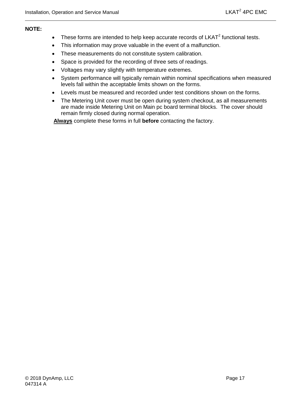#### **NOTE:**

- These forms are intended to help keep accurate records of  $LKAT^2$  functional tests.
- This information may prove valuable in the event of a malfunction.
- These measurements do not constitute system calibration.
- Space is provided for the recording of three sets of readings.
- Voltages may vary slightly with temperature extremes.
- System performance will typically remain within nominal specifications when measured levels fall within the acceptable limits shown on the forms.
- Levels must be measured and recorded under test conditions shown on the forms.
- The Metering Unit cover must be open during system checkout, as all measurements are made inside Metering Unit on Main pc board terminal blocks. The cover should remain firmly closed during normal operation.

**Always** complete these forms in full **before** contacting the factory.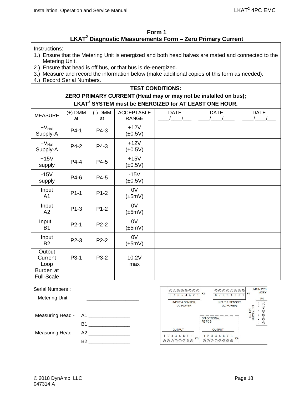#### **Form 1 LKAT2 Diagnostic Measurements Form – Zero Primary Current**

<span id="page-31-0"></span>Instructions:

- 1.) Ensure that the Metering Unit is energized and both head halves are mated and connected to the Metering Unit.
- 2.) Ensure that head is off bus, or that bus is de-energized.
- 3.) Measure and record the information below (make additional copies of this form as needed).
- 4.) Record Serial Numbers.

## **TEST CONDITIONS: ZERO PRIMARY CURRENT (Head may or may not be installed on bus); LKAT2 SYSTEM must be ENERGIZED for AT LEAST ONE HOUR.**

| <b>MEASURE</b>                                              | $(+)$ DMM<br>at | $(-)$ DMM<br>at | <b>ACCEPTABLE</b><br><b>RANGE</b> | <b>DATE</b> | <b>DATE</b> | <b>DATE</b> |
|-------------------------------------------------------------|-----------------|-----------------|-----------------------------------|-------------|-------------|-------------|
| $+V_{\text{Hall}}$<br>Supply-A                              | $P4-1$          | P4-3            | $+12V$<br>$(\pm 0.5V)$            |             |             |             |
| $+V_{\text{Hall}}$<br>Supply-A                              | P4-2            | P4-3            | $+12V$<br>$(\pm 0.5V)$            |             |             |             |
| $+15V$<br>supply                                            | P4-4            | P4-5            | $+15V$<br>$(\pm 0.5V)$            |             |             |             |
| $-15V$<br>supply                                            | P4-6            | P4-5            | $-15V$<br>$(\pm 0.5V)$            |             |             |             |
| Input<br>A <sub>1</sub>                                     | $P1-1$          | $P1-2$          | 0V<br>$(\pm 5mV)$                 |             |             |             |
| Input<br>A2                                                 | $P1-3$          | $P1-2$          | 0V<br>$(\pm 5mV)$                 |             |             |             |
| Input<br><b>B1</b>                                          | $P2-1$          | $P2-2$          | 0V<br>$(\pm 5mV)$                 |             |             |             |
| Input<br><b>B2</b>                                          | P2-3            | $P2-2$          | 0V<br>$(\pm 5mV)$                 |             |             |             |
| Output<br>Current<br>Loop<br>Burden at<br><b>Full-Scale</b> | P3-1            | P3-2            | 10.2V<br>max                      |             |             |             |

| Serial Numbers :     |     | $ \aa\aa\aa\aa\aa\aa $                                  | 00000000<br>P <sub>2</sub>                          | <b>MAIN PCB</b><br><b>ASSY</b> |
|----------------------|-----|---------------------------------------------------------|-----------------------------------------------------|--------------------------------|
| <b>Metering Unit</b> |     | 6 5 4 3<br><b>INPUT &amp; SENSOR</b><br><b>DC POWER</b> | 432<br><b>INPUT &amp; SENSOR</b><br><b>DC POWER</b> | P <sub>4</sub><br>DGPRC        |
| Measuring Head -     | A1  |                                                         | <b>ON OPTIONAL</b>                                  | <b>WER</b>                     |
|                      | B1  |                                                         | <b>PE PCB</b>                                       |                                |
| Measuring Head -     | A2. | <b>OUTPUT</b><br>2 3 4 5 6 7 8<br>P3 <sub>1</sub>       | <b>OUTPUT</b><br>7 8<br>P <sub>9</sub>              |                                |
|                      | B2  | 000000000                                               | 00000000                                            |                                |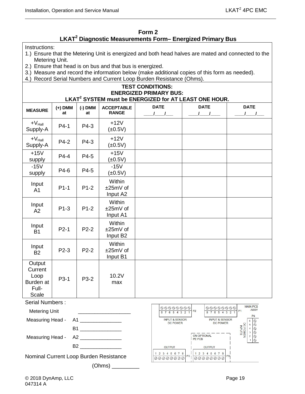#### **Form 2**

# **LKAT2 Diagnostic Measurements Form– Energized Primary Bus**

<span id="page-32-0"></span>Instructions:

- 1.) Ensure that the Metering Unit is energized and both head halves are mated and connected to the Metering Unit.
- 2.) Ensure that head is on bus and that bus is energized.
- 3.) Measure and record the information below (make additional copies of this form as needed).
- 4.) Record Serial Numbers and Current Loop Burden Resistance (Ohms).

#### **TEST CONDITIONS: ENERGIZED PRIMARY BUS: LKAT2 SYSTEM must be ENERGIZED for AT LEAST ONE HOUR.**

| <b>MEASURE</b>                                           | $(+)$ DMM<br>at | $(-)$ DMM<br>at | <b>ACCEPTABLE</b><br><b>RANGE</b>          | <b>DATE</b> | <b>DATE</b> | <b>DATE</b> |
|----------------------------------------------------------|-----------------|-----------------|--------------------------------------------|-------------|-------------|-------------|
| $+V_{\text{Hall}}$<br>Supply-A                           | $P4-1$          | P4-3            | $+12V$<br>$(\pm 0.5V)$                     |             |             |             |
| $+V_{\text{Hall}}$<br>Supply-A                           | P4-2            | P4-3            | $+12V$<br>$(\pm 0.5V)$                     |             |             |             |
| $+15V$<br>supply                                         | $P4-4$          | P4-5            | $+15V$<br>$(\pm 0.5V)$                     |             |             |             |
| $-15V$<br>supply                                         | P4-6            | P4-5            | $-15V$<br>$(\pm 0.5V)$                     |             |             |             |
| Input<br>A <sub>1</sub>                                  | $P1-1$          | $P1-2$          | Within<br>±25mV of<br>Input A2             |             |             |             |
| Input<br>A2                                              | $P1-3$          | $P1-2$          | Within<br>$±25mV$ of<br>Input A1           |             |             |             |
| Input<br><b>B1</b>                                       | $P2-1$          | $P2-2$          | Within<br>±25mV of<br>Input B <sub>2</sub> |             |             |             |
| Input<br><b>B2</b>                                       | $P2-3$          | $P2-2$          | Within<br>±25mV of<br>Input B1             |             |             |             |
| Output<br>Current<br>Loop<br>Burden at<br>Full-<br>Scale | P3-1            | P3-2            | 10.2V<br>max                               |             |             |             |
| <b>Serial Numbers:</b>                                   |                 |                 |                                            |             |             |             |

 Metering Unit \_\_\_\_\_\_\_\_\_\_\_\_\_\_\_\_\_\_\_ Measuring Head - A1 \_\_\_\_\_\_\_\_\_\_\_\_\_\_  $B1$  . The set of  $B1$ Measuring Head - A2

B2 \_\_\_\_\_\_\_\_\_\_\_\_\_\_\_

 $(Ohms)$ 

Nominal Current Loop Burden Resistance

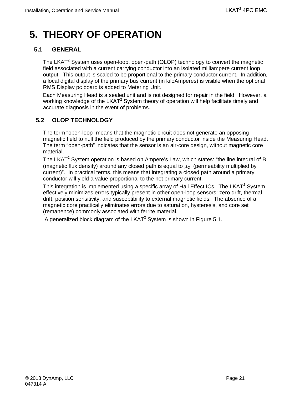# <span id="page-34-0"></span>**5. THEORY OF OPERATION**

# <span id="page-34-1"></span>**5.1 GENERAL**

The LKAT<sup>2</sup> System uses open-loop, open-path (OLOP) technology to convert the magnetic field associated with a current carrying conductor into an isolated milliampere current loop output. This output is scaled to be proportional to the primary conductor current. In addition, a local digital display of the primary bus current (in kiloAmperes) is visible when the optional RMS Display pc board is added to Metering Unit.

Each Measuring Head is a sealed unit and is not designed for repair in the field. However, a working knowledge of the LKAT<sup>2</sup> System theory of operation will help facilitate timely and accurate diagnosis in the event of problems.

# <span id="page-34-2"></span>**5.2 OLOP TECHNOLOGY**

The term "open-loop" means that the magnetic circuit does not generate an opposing magnetic field to null the field produced by the primary conductor inside the Measuring Head. The term "open-path" indicates that the sensor is an air-core design, without magnetic core material.

The LKAT<sup>2</sup> System operation is based on Ampere's Law, which states: "the line integral of B (magnetic flux density) around any closed path is equal to  $\mu_0$  (permeability multiplied by current)". In practical terms, this means that integrating a closed path around a primary conductor will yield a value proportional to the net primary current.

This integration is implemented using a specific array of Hall Effect ICs. The LKAT<sup>2</sup> System effectively minimizes errors typically present in other open-loop sensors: zero drift, thermal drift, position sensitivity, and susceptibility to external magnetic fields. The absence of a magnetic core practically eliminates errors due to saturation, hysteresis, and core set (remanence) commonly associated with ferrite material.

A generalized block diagram of the LKAT<sup>2</sup> System is shown in Figure 5.1.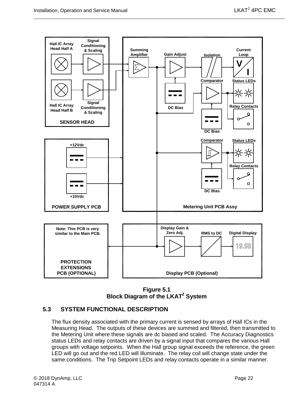

**Figure 5.1 Block Diagram of the LKAT2 System**

## <span id="page-35-1"></span><span id="page-35-0"></span>**5.3 SYSTEM FUNCTIONAL DESCRIPTION**

The flux density associated with the primary current is sensed by arrays of Hall ICs in the Measuring Head. The outputs of these devices are summed and filtered, then transmitted to the Metering Unit where these signals are dc biased and scaled. The Accuracy Diagnostics status LEDs and relay contacts are driven by a signal input that compares the various Hall groups with voltage setpoints. When the Hall group signal exceeds the reference, the green LED will go out and the red LED will illuminate. The relay coil will change state under the same conditions. The Trip Setpoint LEDs and relay contacts operate in a similar manner.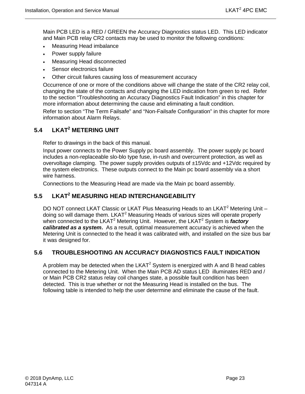Main PCB LED is a RED / GREEN the Accuracy Diagnostics status LED. This LED indicator and Main PCB relay CR2 contacts may be used to monitor the following conditions:

- Measuring Head imbalance
- Power supply failure
- Measuring Head disconnected
- Sensor electronics failure
- Other circuit failures causing loss of measurement accuracy

Occurrence of one or more of the conditions above will change the state of the CR2 relay coil, changing the state of the contacts and changing the LED indication from green to red. Refer to the section "Troubleshooting an Accuracy Diagnostics Fault Indication" in this chapter for more information about determining the cause and eliminating a fault condition.

Refer to section "The Term Failsafe" and "Non-Failsafe Configuration" in this chapter for more information about Alarm Relays.

# <span id="page-36-0"></span>**5.4 LKAT2 METERING UNIT**

Refer to drawings in the back of this manual.

Input power connects to the Power Supply pc board assembly. The power supply pc board includes a non-replaceable slo-blo type fuse, in-rush and overcurrent protection, as well as overvoltage clamping. The power supply provides outputs of ±15Vdc and +12Vdc required by the system electronics. These outputs connect to the Main pc board assembly via a short wire harness.

Connections to the Measuring Head are made via the Main pc board assembly.

# <span id="page-36-1"></span>**5.5 LKAT2 MEASURING HEAD INTERCHANGEABILITY**

DO NOT connect LKAT Classic or LKAT Plus Measuring Heads to an LKAT<sup>2</sup> Metering Unit – doing so will damage them. LKAT<sup>2</sup> Measuring Heads of various sizes will operate properly when connected to the LKAT<sup>2</sup> Metering Unit. However, the LKAT<sup>2</sup> System is *factory calibrated as a system***.** As a result, optimal measurement accuracy is achieved when the Metering Unit is connected to the head it was calibrated with, and installed on the size bus bar it was designed for.

#### <span id="page-36-2"></span>**5.6 TROUBLESHOOTING AN ACCURACY DIAGNOSTICS FAULT INDICATION**

A problem may be detected when the  $LKAT^2$  System is energized with A and B head cables connected to the Metering Unit. When the Main PCB AD status LED illuminates RED and / or Main PCB CR2 status relay coil changes state, a possible fault condition has been detected. This is true whether or not the Measuring Head is installed on the bus. The following table is intended to help the user determine and eliminate the cause of the fault.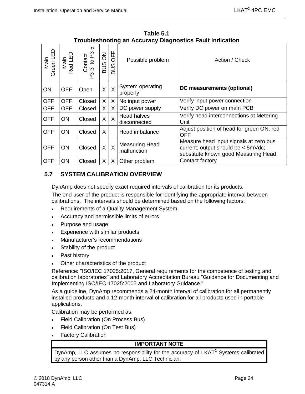<span id="page-37-1"></span>

| Main<br>Green LED | Main<br>ted LED<br>$\alpha$ | r<br>Contact<br>-3 to P3-6<br>P3-3 | $\overline{6}$<br><b>SUB</b> | OFF<br>SUB | Possible problem                     | Action / Check                                                                                                       |
|-------------------|-----------------------------|------------------------------------|------------------------------|------------|--------------------------------------|----------------------------------------------------------------------------------------------------------------------|
| <b>ON</b>         | <b>OFF</b>                  | Open                               | X                            | X          | System operating<br>properly         | DC measurements (optional)                                                                                           |
| <b>OFF</b>        | <b>OFF</b>                  | Closed                             | X                            | X          | No input power                       | Verify input power connection                                                                                        |
| <b>OFF</b>        | <b>OFF</b>                  | Closed                             | X                            | X          | DC power supply                      | Verify DC power on main PCB                                                                                          |
| <b>OFF</b>        | <b>ON</b>                   | Closed                             | X                            | $\sf X$    | <b>Head halves</b><br>disconnected   | Verify head interconnections at Metering<br>Unit                                                                     |
| <b>OFF</b>        | <b>ON</b>                   | Closed                             | X                            |            | Head imbalance                       | Adjust position of head for green ON, red<br>OFF                                                                     |
| <b>OFF</b>        | <b>ON</b>                   | Closed                             | X                            | X          | <b>Measuring Head</b><br>malfunction | Measure head input signals at zero bus<br>current; output should be < 5mVdc;<br>substitute known good Measuring Head |
| <b>OFF</b>        | ON                          | Closed                             | X                            | X          | Other problem                        | Contact factory                                                                                                      |

**Table 5.1 Troubleshooting an Accuracy Diagnostics Fault Indication** 

## <span id="page-37-0"></span>**5.7 SYSTEM CALIBRATION OVERVIEW**

DynAmp does not specify exact required intervals of calibration for its products.

The end user of the product is responsible for identifying the appropriate interval between calibrations. The intervals should be determined based on the following factors:

- Requirements of a Quality Management System
- Accuracy and permissible limits of errors
- Purpose and usage
- Experience with similar products
- Manufacturer's recommendations
- Stability of the product
- Past history
- Other characteristics of the product

Reference: "ISO/IEC 17025:2017, General requirements for the competence of testing and calibration laboratories" and Laboratory Accreditation Bureau "Guidance for Documenting and Implementing ISO/IEC 17025:2005 and Laboratory Guidance."

As a guideline, DynAmp recommends a 24-month interval of calibration for all permanently installed products and a 12-month interval of calibration for all products used in portable applications.

Calibration may be performed as:

- Field Calibration (On Process Bus)
- Field Calibration (On Test Bus)
- Factory Calibration

#### **IMPORTANT NOTE**

DynAmp, LLC assumes no responsibility for the accuracy of LKAT<sup>2</sup> Systems calibrated by any person other than a DynAmp, LLC Technician.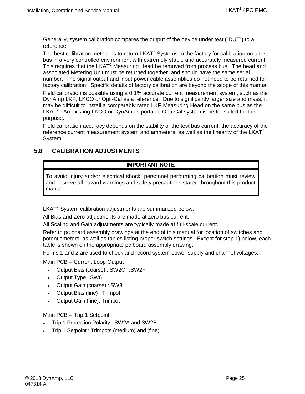Generally, system calibration compares the output of the device under test ("DUT") to a reference.

The best calibration method is to return  $LKAT<sup>2</sup>$  Systems to the factory for calibration on a test bus in a very controlled environment with extremely stable and accurately measured current. This requires that the LKAT<sup>2</sup> Measuring Head be removed from process bus. The head and associated Metering Unit must be returned together, and should have the same serial number. The signal output and input power cable assemblies do not need to be returned for factory calibration. Specific details of factory calibration are beyond the scope of this manual.

Field calibration is possible using a 0.1% accurate current measurement system, such as the DynAmp LKP, LKCO or Opti-Cal as a reference. Due to significantly larger size and mass, it may be difficult to install a comparably rated LKP Measuring Head on the same bus as the LKAT<sup>2</sup>. An existing LKCO or DynAmp's portable Opti-Cal system is better suited for this purpose.

Field calibration accuracy depends on the stability of the test bus current, the accuracy of the reference current measurement system and ammeters, as well as the linearity of the LKAT<sup>2</sup> System.

# <span id="page-38-0"></span>**5.8 CALIBRATION ADJUSTMENTS**

## **IMPORTANT NOTE**

To avoid injury and/or electrical shock, personnel performing calibration must review and observe all hazard warnings and safety precautions stated throughout this product manual.

LKAT<sup>2</sup> System calibration adjustments are summarized below.

All Bias and Zero adjustments are made at zero bus current.

All Scaling and Gain adjustments are typically made at full-scale current.

Refer to pc board assembly drawings at the end of this manual for location of switches and potentiometers, as well as tables listing proper switch settings. Except for step 1) below, each table is shown on the appropriate pc board assembly drawing.

Forms 1 and 2 are used to check and record system power supply and channel voltages.

Main PCB – Current Loop Output

- Output Bias (coarse) : SW2C…SW2F
- Output Type : SW6
- Output Gain (coarse) : SW3
- Output Bias (fine) : Trimpot
- Output Gain (fine): Trimpot

Main PCB – Trip 1 Setpoint

- Trip 1 Protection Polarity : SW2A and SW2B
- Trip 1 Setpoint : Trimpots (medium) and (fine)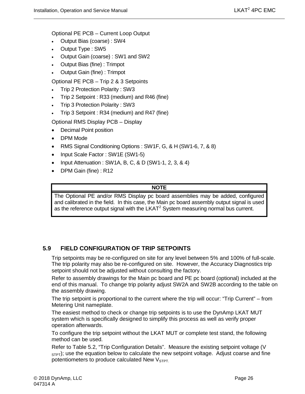Optional PE PCB – Current Loop Output

- Output Bias (coarse) : SW4
- Output Type : SW5
- Output Gain (coarse) : SW1 and SW2
- Output Bias (fine) : Trimpot
- Output Gain (fine) : Trimpot

Optional PE PCB – Trip 2 & 3 Setpoints

- Trip 2 Protection Polarity : SW3
- Trip 2 Setpoint : R33 (medium) and R46 (fine)
- Trip 3 Protection Polarity : SW3
- Trip 3 Setpoint : R34 (medium) and R47 (fine)

Optional RMS Display PCB – Display

- Decimal Point position
- DPM Mode
- RMS Signal Conditioning Options : SW1F, G, & H (SW1-6, 7, & 8)
- Input Scale Factor : SW1E (SW1-5)
- Input Attenuation : SW1A, B, C, & D (SW1-1, 2, 3, & 4)
- DPM Gain (fine) : R12

#### **NOTE**

The Optional PE and/or RMS Display pc board assemblies may be added, configured and calibrated in the field. In this case, the Main pc board assembly output signal is used as the reference output signal with the  $LKAT<sup>2</sup>$  System measuring normal bus current.

#### <span id="page-39-0"></span>**5.9 FIELD CONFIGURATION OF TRIP SETPOINTS**

Trip setpoints may be re-configured on site for any level between 5% and 100% of full-scale. The trip polarity may also be re-configured on site. However, the Accuracy Diagnostics trip setpoint should not be adjusted without consulting the factory.

Refer to assembly drawings for the Main pc board and PE pc board (optional) included at the end of this manual. To change trip polarity adjust SW2A and SW2B according to the table on the assembly drawing.

The trip setpoint is proportional to the current where the trip will occur: "Trip Current" – from Metering Unit nameplate.

The easiest method to check or change trip setpoints is to use the DynAmp LKAT MUT system which is specifically designed to simplify this process as well as verify proper operation afterwards.

To configure the trip setpoint without the LKAT MUT or complete test stand, the following method can be used.

Refer to Table 5.2, "Trip Configuration Details". Measure the existing setpoint voltage (V  $S$ <sub>STPT</sub>); use the equation below to calculate the new setpoint voltage. Adjust coarse and fine potentiometers to produce calculated New  $V<sub>STPT</sub>$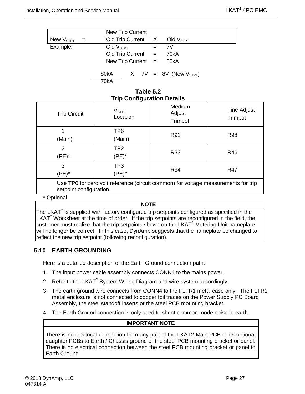|                    |          | <b>New Trip Current</b> |                           |  |  |                                  |  |
|--------------------|----------|-------------------------|---------------------------|--|--|----------------------------------|--|
| New $\rm V_{STPT}$ | $\equiv$ |                         |                           |  |  | Old Trip Current $X$ Old $VSTPT$ |  |
| Example:           |          |                         | Old $VSTPT$               |  |  | 7V                               |  |
|                    |          |                         | $Old$ Trip Current $=$    |  |  | 70kA                             |  |
|                    |          |                         | New Trip Current $=$ 80kA |  |  |                                  |  |
|                    |          | 80kA                    |                           |  |  | X 7V = 8V (New $V_{STPT}$ )      |  |

70kA

#### **Table 5.2 Trip Configuration Details**

<span id="page-40-1"></span>

|                            | $\tilde{\phantom{a}}$         |                             |                        |
|----------------------------|-------------------------------|-----------------------------|------------------------|
| <b>Trip Circuit</b>        | V <sub>STPT</sub><br>Location | Medium<br>Adjust<br>Trimpot | Fine Adjust<br>Trimpot |
| (Main)                     | TP <sub>6</sub><br>(Main)     | R91                         | <b>R98</b>             |
| $\overline{2}$<br>$(PE)^*$ | TP <sub>2</sub><br>$(PE)^*$   | R33                         | R46                    |
| 3<br>$(PE)^*$              | TP3<br>$(PE)^*$               | R34                         | <b>R47</b>             |
| .                          | $\sim$ $\sim$                 | $\sim$ $\sim$<br>$\sim$     | .                      |

Use TP0 for zero volt reference (circuit common) for voltage measurements for trip setpoint configuration.

#### \* Optional

#### **NOTE**

The LKAT<sup>2</sup> is supplied with factory configured trip setpoints configured as specified in the LKAT<sup>2</sup> Worksheet at the time of order. If the trip setpoints are reconfigured in the field, the customer must realize that the trip setpoints shown on the LKAT $2$  Metering Unit nameplate will no longer be correct. In this case, DynAmp suggests that the nameplate be changed to reflect the new trip setpoint (following reconfiguration).

## <span id="page-40-0"></span>**5.10 EARTH GROUNDING**

Here is a detailed description of the Earth Ground connection path:

- 1. The input power cable assembly connects CONN4 to the mains power.
- 2. Refer to the LKAT $2$  System Wiring Diagram and wire system accordingly.
- 3. The earth ground wire connects from CONN4 to the FLTR1 metal case only. The FLTR1 metal enclosure is not connected to copper foil traces on the Power Supply PC Board Assembly, the steel standoff inserts or the steel PCB mounting bracket.
- 4. The Earth Ground connection is only used to shunt common mode noise to earth.

#### **IMPORTANT NOTE**

There is no electrical connection from any part of the LKAT2 Main PCB or its optional daughter PCBs to Earth / Chassis ground or the steel PCB mounting bracket or panel. There is no electrical connection between the steel PCB mounting bracket or panel to Earth Ground.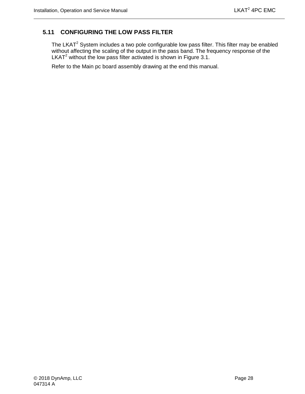# <span id="page-41-0"></span>**5.11 CONFIGURING THE LOW PASS FILTER**

The LKAT<sup>2</sup> System includes a two pole configurable low pass filter. This filter may be enabled without affecting the scaling of the output in the pass band. The frequency response of the LKAT<sup>2</sup> without the low pass filter activated is shown in Figure 3.1.

Refer to the Main pc board assembly drawing at the end this manual.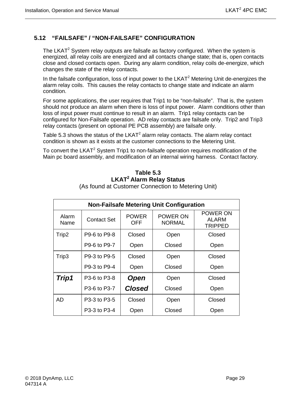# <span id="page-42-0"></span>**5.12 "FAILSAFE" / "NON-FAILSAFE" CONFIGURATION**

The LKAT<sup>2</sup> System relay outputs are failsafe as factory configured. When the system is energized, all relay coils are energized and all contacts change state; that is, open contacts close and closed contacts open. During any alarm condition, relay coils de-energize, which changes the state of the relay contacts.

In the failsafe configuration, loss of input power to the  $LKAT<sup>2</sup>$  Metering Unit de-energizes the alarm relay coils. This causes the relay contacts to change state and indicate an alarm condition.

For some applications, the user requires that Trip1 to be "non-failsafe". That is, the system should not produce an alarm when there is loss of input power. Alarm conditions other than loss of input power must continue to result in an alarm. Trip1 relay contacts can be configured for Non-Failsafe operation. AD relay contacts are failsafe only. Trip2 and Trip3 relay contacts (present on optional PE PCB assembly) are failsafe only.

Table 5.3 shows the status of the  $LKAT^2$  alarm relay contacts. The alarm relay contact condition is shown as it exists at the customer connections to the Metering Unit.

<span id="page-42-1"></span>To convert the LKAT<sup>2</sup> System Trip1 to non-failsafe operation requires modification of the Main pc board assembly, and modification of an internal wiring harness. Contact factory.

# **Table 5.3 LKAT2 Alarm Relay Status**

| <b>Non-Failsafe Metering Unit Configuration</b> |              |                     |                           |                                     |  |  |  |  |
|-------------------------------------------------|--------------|---------------------|---------------------------|-------------------------------------|--|--|--|--|
| Alarm<br>Name                                   | Contact Set  | <b>POWER</b><br>OFF | POWER ON<br><b>NORMAL</b> | POWER ON<br>ALARM<br><b>TRIPPED</b> |  |  |  |  |
| Trip2                                           | P9-6 to P9-8 | Closed<br>Open      |                           | Closed                              |  |  |  |  |
|                                                 | P9-6 to P9-7 | Open                | Closed                    | Open                                |  |  |  |  |
| Trip3                                           | P9-3 to P9-5 | Closed              | Open                      | Closed                              |  |  |  |  |
|                                                 | P9-3 to P9-4 | Open                | Closed                    | Open                                |  |  |  |  |
| Trip1                                           | P3-6 to P3-8 | <b>Open</b>         | Open                      | Closed                              |  |  |  |  |
|                                                 | P3-6 to P3-7 | <b>Closed</b>       | Closed                    | Open                                |  |  |  |  |
| AD                                              | P3-3 to P3-5 | Closed              | Open                      | Closed                              |  |  |  |  |
|                                                 | P3-3 to P3-4 | Open                | Closed                    | Open                                |  |  |  |  |

(As found at Customer Connection to Metering Unit)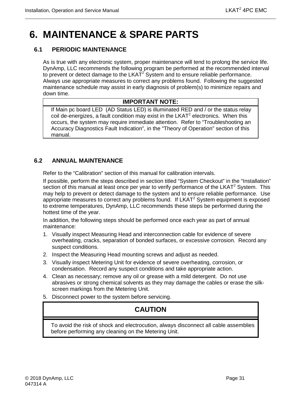# <span id="page-44-0"></span>**6. MAINTENANCE & SPARE PARTS**

# <span id="page-44-1"></span>**6.1 PERIODIC MAINTENANCE**

As is true with any electronic system, proper maintenance will tend to prolong the service life. DynAmp, LLC recommends the following program be performed at the recommended interval to prevent or detect damage to the  $LKAT<sup>2</sup>$  System and to ensure reliable performance. Always use appropriate measures to correct any problems found. Following the suggested maintenance schedule may assist in early diagnosis of problem(s) to minimize repairs and down time.

#### **IMPORTANT NOTE:**

If Main pc board LED (AD Status LED) is illuminated RED and / or the status relay coil de-energizes, a fault condition may exist in the  $LKAT<sup>2</sup>$  electronics. When this occurs, the system may require immediate attention. Refer to "Troubleshooting an Accuracy Diagnostics Fault Indication", in the "Theory of Operation" section of this manual.

## <span id="page-44-2"></span>**6.2 ANNUAL MAINTENANCE**

Refer to the "Calibration" section of this manual for calibration intervals.

If possible, perform the steps described in section titled "System Checkout" in the "Installation" section of this manual at least once per year to verify performance of the  $LKAT^2$  System. This may help to prevent or detect damage to the system and to ensure reliable performance. Use appropriate measures to correct any problems found. If  $LKAT<sup>2</sup>$  System equipment is exposed to extreme temperatures, DynAmp, LLC recommends these steps be performed during the hottest time of the year.

In addition, the following steps should be performed once each year as part of annual maintenance:

- 1. Visually inspect Measuring Head and interconnection cable for evidence of severe overheating, cracks, separation of bonded surfaces, or excessive corrosion. Record any suspect conditions.
- 2. Inspect the Measuring Head mounting screws and adjust as needed.
- 3. Visually inspect Metering Unit for evidence of severe overheating, corrosion, or condensation. Record any suspect conditions and take appropriate action.
- 4. Clean as necessary; remove any oil or grease with a mild detergent. Do not use abrasives or strong chemical solvents as they may damage the cables or erase the silkscreen markings from the Metering Unit.
- 5. Disconnect power to the system before servicing.

# **CAUTION**

To avoid the risk of shock and electrocution, always disconnect all cable assemblies before performing any cleaning on the Metering Unit.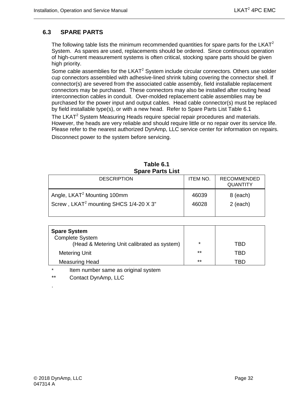## <span id="page-45-0"></span>**6.3 SPARE PARTS**

The following table lists the minimum recommended quantities for spare parts for the  $LKAT<sup>2</sup>$ System. As spares are used, replacements should be ordered. Since continuous operation of high-current measurement systems is often critical, stocking spare parts should be given high priority.

Some cable assemblies for the  $LKAT^2$  System include circular connectors. Others use solder cup connectors assembled with adhesive-lined shrink tubing covering the connector shell. If connector(s) are severed from the associated cable assembly, field installable replacement connectors may be purchased. These connectors may also be installed after routing head interconnection cables in conduit. Over-molded replacement cable assemblies may be purchased for the power input and output cables. Head cable connector(s) must be replaced by field installable type(s), or with a new head. Refer to Spare Parts List Table 6.1

The LKAT<sup>2</sup> System Measuring Heads require special repair procedures and materials. However, the heads are very reliable and should require little or no repair over its service life. Please refer to the nearest authorized DynAmp, LLC service center for information on repairs.

Disconnect power to the system before servicing.

<span id="page-45-1"></span>

| <b>DESCRIPTION</b>                                 | <b>ITEM NO.</b> | <b>RECOMMENDED</b><br><b>QUANTITY</b> |
|----------------------------------------------------|-----------------|---------------------------------------|
| Angle, LKAT <sup>2</sup> Mounting 100mm            | 46039           | 8 (each)                              |
| Screw, LKAT <sup>2</sup> mounting SHCS 1/4-20 X 3" | 46028           | $2$ (each)                            |

#### **Table 6.1 Spare Parts List**

| <b>Spare System</b><br><b>Complete System</b><br>(Head & Metering Unit calibrated as system) | $\star$ | TBD |
|----------------------------------------------------------------------------------------------|---------|-----|
| <b>Metering Unit</b>                                                                         | $***$   | TRD |
| <b>Measuring Head</b>                                                                        | $***$   | TRD |

Item number same as original system

\*\* Contact DynAmp, LLC

.